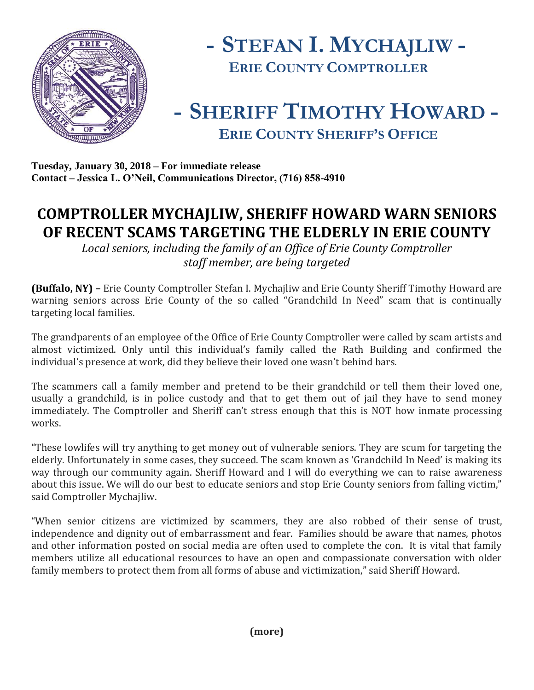



## **- SHERIFF TIMOTHY HOWARD - ERIE COUNTY SHERIFF'S OFFICE**

**Tuesday, January 30, 2018 – For immediate release Contact – Jessica L. O'Neil, Communications Director, (716) 858-4910**

## **COMPTROLLER MYCHAJLIW, SHERIFF HOWARD WARN SENIORS OF RECENT SCAMS TARGETING THE ELDERLY IN ERIE COUNTY**

*Local seniors, including the family of an Office of Erie County Comptroller staff member, are being targeted*

**(Buffalo, NY) –** Erie County Comptroller Stefan I. Mychajliw and Erie County Sheriff Timothy Howard are warning seniors across Erie County of the so called "Grandchild In Need" scam that is continually targeting local families.

The grandparents of an employee of the Office of Erie County Comptroller were called by scam artists and almost victimized. Only until this individual's family called the Rath Building and confirmed the individual's presence at work, did they believe their loved one wasn't behind bars.

The scammers call a family member and pretend to be their grandchild or tell them their loved one, usually a grandchild, is in police custody and that to get them out of jail they have to send money immediately. The Comptroller and Sheriff can't stress enough that this is NOT how inmate processing works.

"These lowlifes will try anything to get money out of vulnerable seniors. They are scum for targeting the elderly. Unfortunately in some cases, they succeed. The scam known as 'Grandchild In Need' is making its way through our community again. Sheriff Howard and I will do everything we can to raise awareness about this issue. We will do our best to educate seniors and stop Erie County seniors from falling victim," said Comptroller Mychajliw.

"When senior citizens are victimized by scammers, they are also robbed of their sense of trust, independence and dignity out of embarrassment and fear. Families should be aware that names, photos and other information posted on social media are often used to complete the con. It is vital that family members utilize all educational resources to have an open and compassionate conversation with older family members to protect them from all forms of abuse and victimization," said Sheriff Howard.